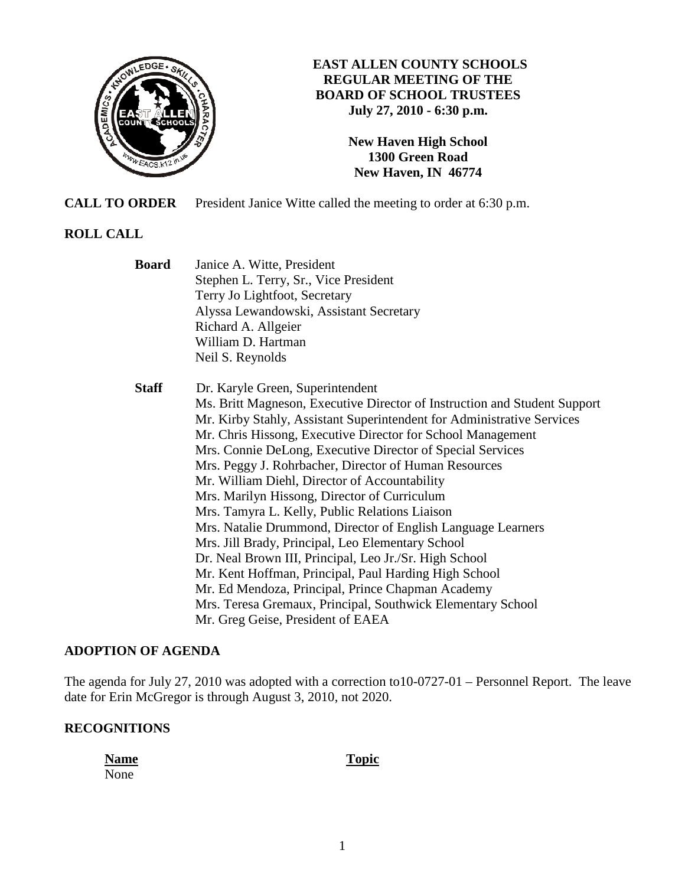

## **EAST ALLEN COUNTY SCHOOLS REGULAR MEETING OF THE BOARD OF SCHOOL TRUSTEES July 27, 2010 - 6:30 p.m.**

**New Haven High School 1300 Green Road New Haven, IN 46774**

**CALL TO ORDER** President Janice Witte called the meeting to order at 6:30 p.m.

# **ROLL CALL**

 **Board** Janice A. Witte, President Stephen L. Terry, Sr., Vice President Terry Jo Lightfoot, Secretary Alyssa Lewandowski, Assistant Secretary Richard A. Allgeier William D. Hartman Neil S. Reynolds  **Staff** Dr. Karyle Green, Superintendent Ms. Britt Magneson, Executive Director of Instruction and Student Support Mr. Kirby Stahly, Assistant Superintendent for Administrative Services Mr. Chris Hissong, Executive Director for School Management Mrs. Connie DeLong, Executive Director of Special Services Mrs. Peggy J. Rohrbacher, Director of Human Resources Mr. William Diehl, Director of Accountability Mrs. Marilyn Hissong, Director of Curriculum Mrs. Tamyra L. Kelly, Public Relations Liaison Mrs. Natalie Drummond, Director of English Language Learners Mrs. Jill Brady, Principal, Leo Elementary School Dr. Neal Brown III, Principal, Leo Jr./Sr. High School Mr. Kent Hoffman, Principal, Paul Harding High School Mr. Ed Mendoza, Principal, Prince Chapman Academy Mrs. Teresa Gremaux, Principal, Southwick Elementary School Mr. Greg Geise, President of EAEA

# **ADOPTION OF AGENDA**

The agenda for July 27, 2010 was adopted with a correction to10-0727-01 – Personnel Report. The leave date for Erin McGregor is through August 3, 2010, not 2020.

# **RECOGNITIONS**

**Name** Topic None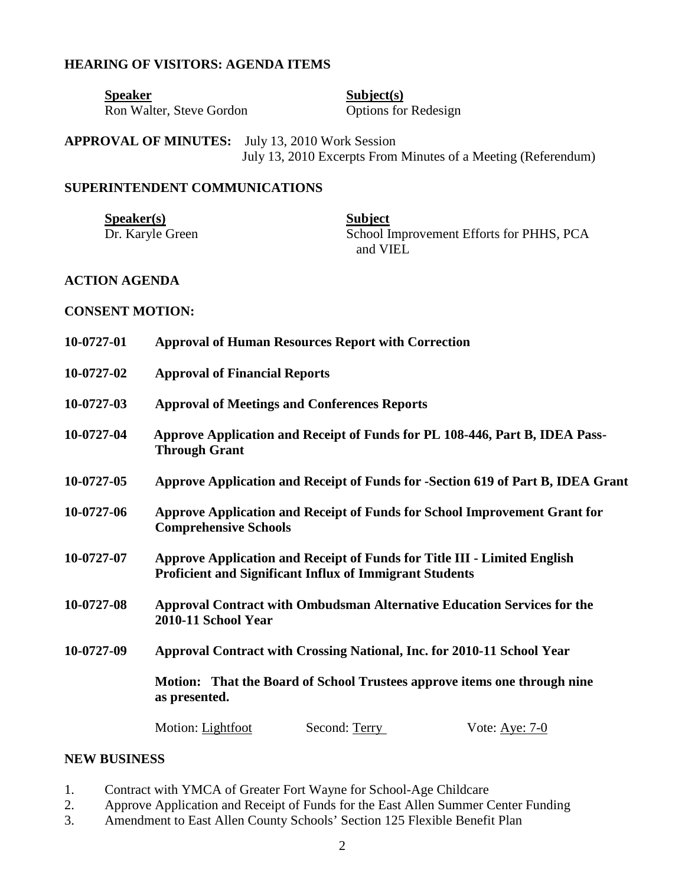#### **HEARING OF VISITORS: AGENDA ITEMS**

Speaker<br>
Ron Walter, Steve Gordon<br>
Subject(s)<br>
Options for Redesign Ron Walter, Steve Gordon

**APPROVAL OF MINUTES:** July 13, 2010 Work Session July 13, 2010 Excerpts From Minutes of a Meeting (Referendum)

### **SUPERINTENDENT COMMUNICATIONS**

Speaker(s)<br>Dr. Karyle Green<br>School In

School Improvement Efforts for PHHS, PCA and VIEL

## **ACTION AGENDA**

### **CONSENT MOTION:**

| 10-0727-01 | <b>Approval of Human Resources Report with Correction</b>                                                                                                           |  |  |
|------------|---------------------------------------------------------------------------------------------------------------------------------------------------------------------|--|--|
| 10-0727-02 | <b>Approval of Financial Reports</b>                                                                                                                                |  |  |
| 10-0727-03 | <b>Approval of Meetings and Conferences Reports</b>                                                                                                                 |  |  |
| 10-0727-04 | Approve Application and Receipt of Funds for PL 108-446, Part B, IDEA Pass-<br><b>Through Grant</b>                                                                 |  |  |
| 10-0727-05 | Approve Application and Receipt of Funds for -Section 619 of Part B, IDEA Grant                                                                                     |  |  |
| 10-0727-06 | Approve Application and Receipt of Funds for School Improvement Grant for<br><b>Comprehensive Schools</b>                                                           |  |  |
| 10-0727-07 | Approve Application and Receipt of Funds for Title III - Limited English<br><b>Proficient and Significant Influx of Immigrant Students</b>                          |  |  |
| 10-0727-08 | <b>Approval Contract with Ombudsman Alternative Education Services for the</b><br>2010-11 School Year                                                               |  |  |
| 10-0727-09 | Approval Contract with Crossing National, Inc. for 2010-11 School Year<br>Motion: That the Board of School Trustees approve items one through nine<br>as presented. |  |  |
|            |                                                                                                                                                                     |  |  |

### **NEW BUSINESS**

- 1. Contract with YMCA of Greater Fort Wayne for School-Age Childcare
- 2. Approve Application and Receipt of Funds for the East Allen Summer Center Funding
- 3. Amendment to East Allen County Schools' Section 125 Flexible Benefit Plan